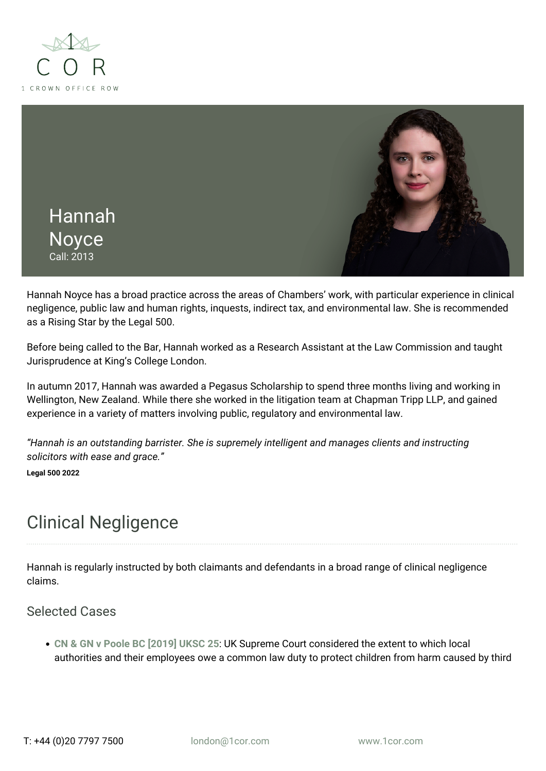



Hannah Noyce has a broad practice across the areas of Chambers' work, with particular experience in clinical negligence, public law and human rights, inquests, indirect tax, and environmental law. She is recommended as a Rising Star by the Legal 500.

Before being called to the Bar, Hannah worked as a Research Assistant at the Law Commission and taught Jurisprudence at King's College London.

In autumn 2017, Hannah was awarded a Pegasus Scholarship to spend three months living and working in Wellington, New Zealand. While there she worked in the litigation team at Chapman Tripp LLP, and gained experience in a variety of matters involving public, regulatory and environmental law.

*"Hannah is an outstanding barrister. She is supremely intelligent and manages clients and instructing solicitors with ease and grace."*

**Legal 500 2022**

# Clinical Negligence

Hannah is regularly instructed by both claimants and defendants in a broad range of clinical negligence claims.

### Selected Cases

**[CN & GN v Poole BC \[2019\] UKSC 25](https://www.1cor.com/london/2019/06/06/protecting-children-from-harm-cn-gn-v-poole-borough-council/)**: UK Supreme Court considered the extent to which local authorities and their employees owe a common law duty to protect children from harm caused by third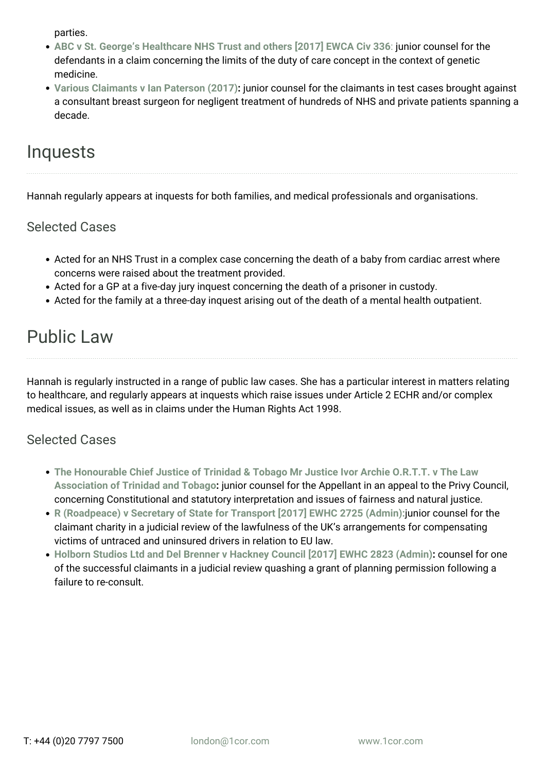parties.

- **[ABC v St. George's Healthcare NHS Trust and others \[2017\] EWCA Civ 336](http://www.bailii.org/ew/cases/EWCA/Civ/2017/336.html)**[:](http://www.bailii.org/ew/cases/EWCA/Civ/2017/336.html) junior counsel for the defendants in a claim concerning the limits of the duty of care concept in the context of genetic medicine.
- **[Various Claimants v Ian Paterson \(2017\)](https://www.theguardian.com/society/2017/apr/28/cancer-surgeon-convicted-of-performing-needless-breast-surgery):** junior counsel for the claimants in test cases brought against a consultant breast surgeon for negligent treatment of hundreds of NHS and private patients spanning a decade.

## Inquests

Hannah regularly appears at inquests for both families, and medical professionals and organisations.

### Selected Cases

- Acted for an NHS Trust in a complex case concerning the death of a baby from cardiac arrest where concerns were raised about the treatment provided.
- Acted for a GP at a five-day jury inquest concerning the death of a prisoner in custody.
- Acted for the family at a three-day inquest arising out of the death of a mental health outpatient.

# Public Law

Hannah is regularly instructed in a range of public law cases. She has a particular interest in matters relating to healthcare, and regularly appears at inquests which raise issues under Article 2 ECHR and/or complex medical issues, as well as in claims under the Human Rights Act 1998.

## Selected Cases

- **[The Honourable Chief Justice of Trinidad & Tobago Mr Justice Ivor Archie O.R.T.T. v The Law](https://www.jcpc.uk/cases/jcpc-2018-0063.html) [Association of Trinidad and Tobago:](https://www.jcpc.uk/cases/jcpc-2018-0063.html)** junior counsel for the Appellant in an appeal to the Privy Council, concerning Constitutional and statutory interpretation and issues of fairness and natural justice.
- **[R \(Roadpeace\) v Secretary of State for Transport \[2017\] EWHC 2725 \(Admin\):](http://www.bailii.org/ew/cases/EWHC/Admin/2017/2725.html)**junior counsel for the claimant charity in a judicial review of the lawfulness of the UK's arrangements for compensating victims of untraced and uninsured drivers in relation to EU law.
- **[Holborn Studios Ltd and Del Brenner v Hackney Council \[2017\] EWHC 2823 \(Admin\):](http://www.bailii.org/ew/cases/EWHC/Admin/2017/2823.html)** counsel for one of the successful claimants in a judicial review quashing a grant of planning permission following a failure to re-consult.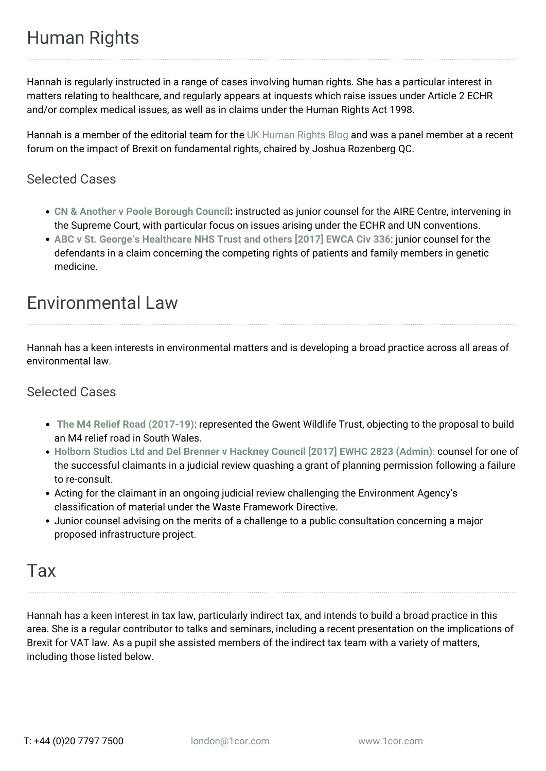Hannah is regularly instructed in a range of cases involving human rights. She has a particular interest in matters relating to healthcare, and regularly appears at inquests which raise issues under Article 2 ECHR and/or complex medical issues, as well as in claims under the Human Rights Act 1998.

Hannah is a member of the editorial team for the [UK Human Rights Blog](https://ukhumanrightsblog.com/) and was a panel member at a recent forum on the impact of Brexit on fundamental rights, chaired by Joshua Rozenberg QC.

### Selected Cases

- **[CN & Another v Poole Borough Council:](https://www.1cor.com/london/2018/03/16/supreme-court-granted-permission-appellants-appeal-case-cn-1-gn-2protected-parties-represented-litigation-friend-official-solicitor-v-poole-boroug/)** instructed as junior counsel for the AIRE Centre, intervening in the Supreme Court, with particular focus on issues arising under the ECHR and UN conventions.
- **[ABC v St. George's Healthcare NHS Trust and others \[2017\] EWCA Civ 336](http://www.bailii.org/ew/cases/EWCA/Civ/2017/336.html)**: junior counsel for the defendants in a claim concerning the competing rights of patients and family members in genetic medicine.

## Environmental Law

Hannah has a keen interests in environmental matters and is developing a broad practice across all areas of environmental law.

### Selected Cases

- **[The M4 Relief Road \(2017-19\)](http://www.gwentwildlife.org/news/2017/09/26/gwent-wildlife-trust-m4-campaign)**: represented the Gwent Wildlife Trust, objecting to the proposal to build an M4 relief road in South Wales.
- **[Holborn Studios Ltd and Del Brenner v Hackney Council \[2017\] EWHC 2823 \(Admin\)](http://www.bailii.org/ew/cases/EWHC/Admin/2017/2823.html)**[:](http://www.bailii.org/ew/cases/EWHC/Admin/2017/2823.html) counsel for one of the successful claimants in a judicial review quashing a grant of planning permission following a failure to re-consult.
- Acting for the claimant in an ongoing judicial review challenging the Environment Agency's classification of material under the Waste Framework Directive.
- Junior counsel advising on the merits of a challenge to a public consultation concerning a major proposed infrastructure project.

## Tax

Hannah has a keen interest in tax law, particularly indirect tax, and intends to build a broad practice in this area. She is a regular contributor to talks and seminars, including a recent presentation on the implications of Brexit for VAT law. As a pupil she assisted members of the indirect tax team with a variety of matters, including those listed below.